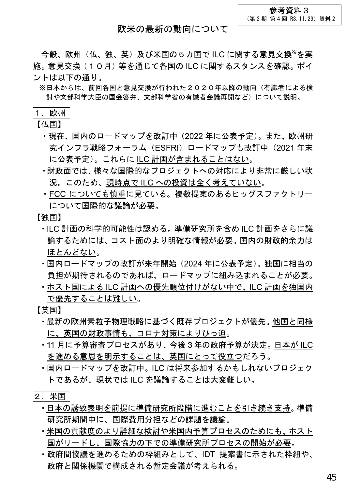## 欧米の最新の動向について

今般、欧州(仏、独、英)及び米国の5カ国で ILC に関する意見交換※を実 施。意見交換(10月)等を通じて各国の ILC に関するスタンスを確認。ポイ ントは以下の通り。

※日本からは、前回各国と意見交換が行われた2020年以降の動向(有識者による検 討や文部科学大臣の国会答弁、文部科学省の有識者会議再開など)について説明。

## 1. 欧州

【仏国】

- ・現在、国内のロードマップを改訂中(2022 年に公表予定)。また、欧州研 究インフラ戦略フォーラム (ESFRI) ロードマップも改訂中 (2021 年末 に公表予定)。これらに ILC 計画が含まれることはない。
- ・財政面では、様々な国際的なプロジェクトへの対応により非常に厳しい状 況。このため、現時点で ILC への投資は全く考えていない。
- ・FCC についても慎重に見ている。複数提案のあるヒッグスファクトリー について国際的な議論が必要。

【独国】

- ・ILC 計画の科学的可能性は認める。準備研究所を含め ILC 計画をさらに議 論するためには、コスト面のより明確な情報が必要。国内の財政的余力は ほとんどない。
- ・国内ロードマップの改訂が来年開始(2024 年に公表予定)。独国に相当の 負担が期待されるのであれば、ロードマップに組み込まれることが必要。
- ・ホスト国による ILC 計画への優先順位付けがない中で、ILC 計画を独国内 で優先することは難しい。

【英国】

- ・最新の欧州素粒子物理戦略に基づく既存プロジェクトが優先。他国と同様 に、英国の財政事情も、コロナ対策によりひっ迫。
- ・11 月に予算審査プロセスがあり、今後3年の政府予算が決定。日本が ILC を進める意思を明示することは、英国にとって役立つだろう。
- ・国内ロードマップを改訂中。ILC は将来参加するかもしれないプロジェク トであるが、現状では ILC を議論することは大変難しい。
- 2.米国
	- ・日本の誘致表明を前提に準備研究所段階に進むことを引き続き支持。準備 研究所期間中に、国際費用分担などの課題を議論。
	- ・米国の貢献度のより詳細な検討や米国内予算プロセスのためにも、ホスト 国がリードし、国際協力の下での準備研究所プロセスの開始が必要。
	- ・政府間協議を進めるための枠組みとして、IDT 提案書に示された枠組や、 政府と関係機関で構成される暫定会議が考えられる。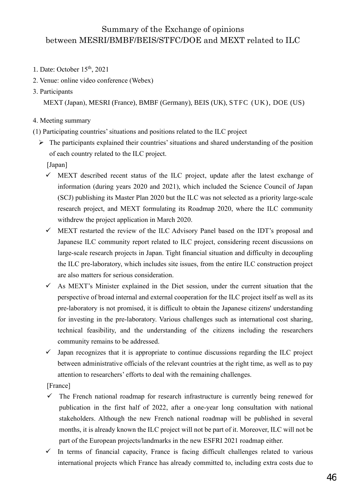## Summary of the Exchange of opinions between MESRI/BMBF/BEIS/STFC/DOE and MEXT related to ILC

- 1. Date: October 15th, 2021
- 2. Venue: online video conference (Webex)
- 3. Participants

MEXT (Japan), MESRI (France), BMBF (Germany), BEIS (UK), STFC (UK), DOE (US)

- 4. Meeting summary
- (1) Participating countries' situations and positions related to the ILC project
	- ➢ The participants explained their countries' situations and shared understanding of the position of each country related to the ILC project.

[Japan]

- $\checkmark$  MEXT described recent status of the ILC project, update after the latest exchange of information (during years 2020 and 2021), which included the Science Council of Japan (SCJ) publishing its Master Plan 2020 but the ILC was not selected as a priority large-scale research project, and MEXT formulating its Roadmap 2020, where the ILC community withdrew the project application in March 2020.
- $\checkmark$  MEXT restarted the review of the ILC Advisory Panel based on the IDT's proposal and Japanese ILC community report related to ILC project, considering recent discussions on large-scale research projects in Japan. Tight financial situation and difficulty in decoupling the ILC pre-laboratory, which includes site issues, from the entire ILC construction project are also matters for serious consideration.
- $\checkmark$  As MEXT's Minister explained in the Diet session, under the current situation that the perspective of broad internal and external cooperation for the ILC project itself as well as its pre-laboratory is not promised, it is difficult to obtain the Japanese citizens' understanding for investing in the pre-laboratory. Various challenges such as international cost sharing, technical feasibility, and the understanding of the citizens including the researchers community remains to be addressed.
- $\checkmark$  Japan recognizes that it is appropriate to continue discussions regarding the ILC project between administrative officials of the relevant countries at the right time, as well as to pay attention to researchers' efforts to deal with the remaining challenges.

[France]

- $\checkmark$  The French national roadmap for research infrastructure is currently being renewed for publication in the first half of 2022, after a one-year long consultation with national stakeholders. Although the new French national roadmap will be published in several months, it is already known the ILC project will not be part of it. Moreover, ILC will not be part of the European projects/landmarks in the new ESFRI 2021 roadmap either.
- $\checkmark$  In terms of financial capacity, France is facing difficult challenges related to various international projects which France has already committed to, including extra costs due to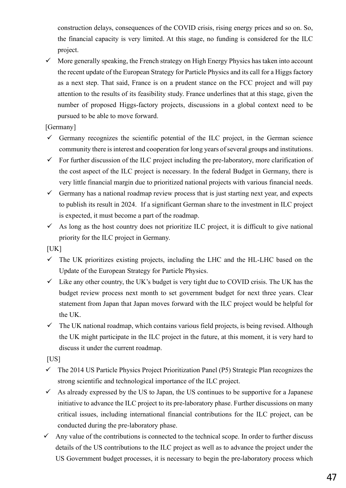construction delays, consequences of the COVID crisis, rising energy prices and so on. So, the financial capacity is very limited. At this stage, no funding is considered for the ILC project.

 $\checkmark$  More generally speaking, the French strategy on High Energy Physics has taken into account the recent update of the European Strategy for Particle Physics and its call for a Higgs factory as a next step. That said, France is on a prudent stance on the FCC project and will pay attention to the results of its feasibility study. France underlines that at this stage, given the number of proposed Higgs-factory projects, discussions in a global context need to be pursued to be able to move forward.

[Germany]

- $\checkmark$  Germany recognizes the scientific potential of the ILC project, in the German science community there is interest and cooperation for long years of several groups and institutions.
- $\checkmark$  For further discussion of the ILC project including the pre-laboratory, more clarification of the cost aspect of the ILC project is necessary. In the federal Budget in Germany, there is very little financial margin due to prioritized national projects with various financial needs.
- $\checkmark$  Germany has a national roadmap review process that is just starting next year, and expects to publish its result in 2024. If a significant German share to the investment in ILC project is expected, it must become a part of the roadmap.
- $\checkmark$  As long as the host country does not prioritize ILC project, it is difficult to give national priority for the ILC project in Germany.

 $[UK]$ 

- $\checkmark$  The UK prioritizes existing projects, including the LHC and the HL-LHC based on the Update of the European Strategy for Particle Physics.
- $\checkmark$  Like any other country, the UK's budget is very tight due to COVID crisis. The UK has the budget review process next month to set government budget for next three years. Clear statement from Japan that Japan moves forward with the ILC project would be helpful for the UK.
- $\checkmark$  The UK national roadmap, which contains various field projects, is being revised. Although the UK might participate in the ILC project in the future, at this moment, it is very hard to discuss it under the current roadmap.

[US]

- $\checkmark$  The 2014 US Particle Physics Project Prioritization Panel (P5) Strategic Plan recognizes the strong scientific and technological importance of the ILC project.
- $\checkmark$  As already expressed by the US to Japan, the US continues to be supportive for a Japanese initiative to advance the ILC project to its pre-laboratory phase. Further discussions on many critical issues, including international financial contributions for the ILC project, can be conducted during the pre-laboratory phase.
- Any value of the contributions is connected to the technical scope. In order to further discuss details of the US contributions to the ILC project as well as to advance the project under the US Government budget processes, it is necessary to begin the pre-laboratory process which